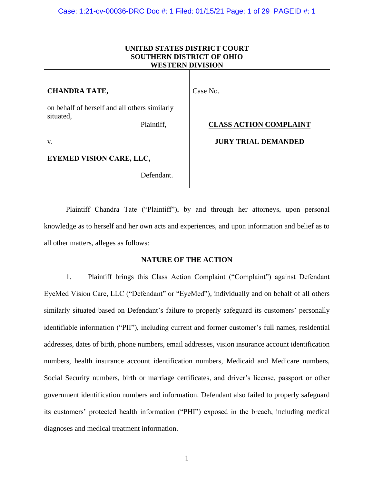| UNITED STATES DISTRICT COURT<br><b>SOUTHERN DISTRICT OF OHIO</b><br><b>WESTERN DIVISION</b> |                               |
|---------------------------------------------------------------------------------------------|-------------------------------|
| <b>CHANDRA TATE,</b>                                                                        | Case No.                      |
| on behalf of herself and all others similarly<br>situated,<br>Plaintiff,                    | <b>CLASS ACTION COMPLAINT</b> |
| V.                                                                                          | <b>JURY TRIAL DEMANDED</b>    |
| <b>EYEMED VISION CARE, LLC,</b>                                                             |                               |
| Defendant.                                                                                  |                               |

Plaintiff Chandra Tate ("Plaintiff"), by and through her attorneys, upon personal knowledge as to herself and her own acts and experiences, and upon information and belief as to all other matters, alleges as follows:

### **NATURE OF THE ACTION**

1. Plaintiff brings this Class Action Complaint ("Complaint") against Defendant EyeMed Vision Care, LLC ("Defendant" or "EyeMed"), individually and on behalf of all others similarly situated based on Defendant's failure to properly safeguard its customers' personally identifiable information ("PII"), including current and former customer's full names, residential addresses, dates of birth, phone numbers, email addresses, vision insurance account identification numbers, health insurance account identification numbers, Medicaid and Medicare numbers, Social Security numbers, birth or marriage certificates, and driver's license, passport or other government identification numbers and information. Defendant also failed to properly safeguard its customers' protected health information ("PHI") exposed in the breach, including medical diagnoses and medical treatment information.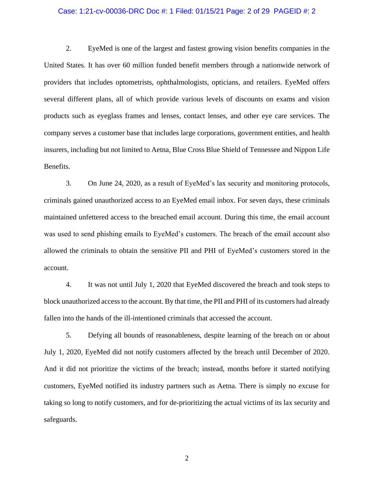### Case: 1:21-cv-00036-DRC Doc #: 1 Filed: 01/15/21 Page: 2 of 29 PAGEID #: 2

2. EyeMed is one of the largest and fastest growing vision benefits companies in the United States. It has over 60 million funded benefit members through a nationwide network of providers that includes optometrists, ophthalmologists, opticians, and retailers. EyeMed offers several different plans, all of which provide various levels of discounts on exams and vision products such as eyeglass frames and lenses, contact lenses, and other eye care services. The company serves a customer base that includes large corporations, government entities, and health insurers, including but not limited to Aetna, Blue Cross Blue Shield of Tennessee and Nippon Life Benefits.

3. On June 24, 2020, as a result of EyeMed's lax security and monitoring protocols, criminals gained unauthorized access to an EyeMed email inbox. For seven days, these criminals maintained unfettered access to the breached email account. During this time, the email account was used to send phishing emails to EyeMed's customers. The breach of the email account also allowed the criminals to obtain the sensitive PII and PHI of EyeMed's customers stored in the account.

4. It was not until July 1, 2020 that EyeMed discovered the breach and took steps to block unauthorized access to the account. By that time, the PII and PHI of its customers had already fallen into the hands of the ill-intentioned criminals that accessed the account.

5. Defying all bounds of reasonableness, despite learning of the breach on or about July 1, 2020, EyeMed did not notify customers affected by the breach until December of 2020. And it did not prioritize the victims of the breach; instead, months before it started notifying customers, EyeMed notified its industry partners such as Aetna. There is simply no excuse for taking so long to notify customers, and for de-prioritizing the actual victims of its lax security and safeguards.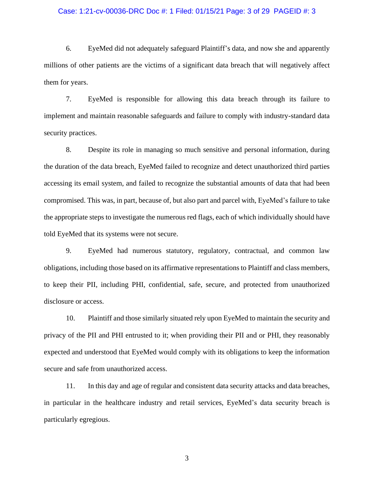### Case: 1:21-cv-00036-DRC Doc #: 1 Filed: 01/15/21 Page: 3 of 29 PAGEID #: 3

6. EyeMed did not adequately safeguard Plaintiff's data, and now she and apparently millions of other patients are the victims of a significant data breach that will negatively affect them for years.

7. EyeMed is responsible for allowing this data breach through its failure to implement and maintain reasonable safeguards and failure to comply with industry-standard data security practices.

8. Despite its role in managing so much sensitive and personal information, during the duration of the data breach, EyeMed failed to recognize and detect unauthorized third parties accessing its email system, and failed to recognize the substantial amounts of data that had been compromised. This was, in part, because of, but also part and parcel with, EyeMed's failure to take the appropriate steps to investigate the numerous red flags, each of which individually should have told EyeMed that its systems were not secure.

9. EyeMed had numerous statutory, regulatory, contractual, and common law obligations, including those based on its affirmative representations to Plaintiff and class members, to keep their PII, including PHI, confidential, safe, secure, and protected from unauthorized disclosure or access.

10. Plaintiff and those similarly situated rely upon EyeMed to maintain the security and privacy of the PII and PHI entrusted to it; when providing their PII and or PHI, they reasonably expected and understood that EyeMed would comply with its obligations to keep the information secure and safe from unauthorized access.

11. In this day and age of regular and consistent data security attacks and data breaches, in particular in the healthcare industry and retail services, EyeMed's data security breach is particularly egregious.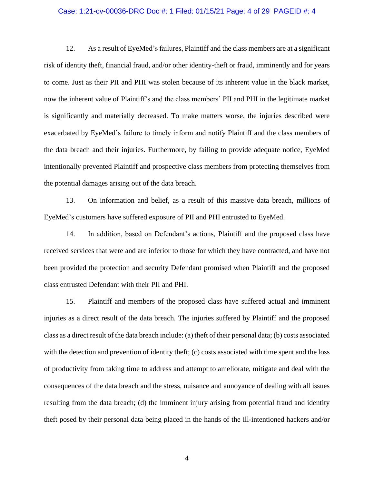#### Case: 1:21-cv-00036-DRC Doc #: 1 Filed: 01/15/21 Page: 4 of 29 PAGEID #: 4

12. As a result of EyeMed's failures, Plaintiff and the class members are at a significant risk of identity theft, financial fraud, and/or other identity-theft or fraud, imminently and for years to come. Just as their PII and PHI was stolen because of its inherent value in the black market, now the inherent value of Plaintiff's and the class members' PII and PHI in the legitimate market is significantly and materially decreased. To make matters worse, the injuries described were exacerbated by EyeMed's failure to timely inform and notify Plaintiff and the class members of the data breach and their injuries. Furthermore, by failing to provide adequate notice, EyeMed intentionally prevented Plaintiff and prospective class members from protecting themselves from the potential damages arising out of the data breach.

13. On information and belief, as a result of this massive data breach, millions of EyeMed's customers have suffered exposure of PII and PHI entrusted to EyeMed.

14. In addition, based on Defendant's actions, Plaintiff and the proposed class have received services that were and are inferior to those for which they have contracted, and have not been provided the protection and security Defendant promised when Plaintiff and the proposed class entrusted Defendant with their PII and PHI.

15. Plaintiff and members of the proposed class have suffered actual and imminent injuries as a direct result of the data breach. The injuries suffered by Plaintiff and the proposed class as a direct result of the data breach include: (a) theft of their personal data; (b) costs associated with the detection and prevention of identity theft; (c) costs associated with time spent and the loss of productivity from taking time to address and attempt to ameliorate, mitigate and deal with the consequences of the data breach and the stress, nuisance and annoyance of dealing with all issues resulting from the data breach; (d) the imminent injury arising from potential fraud and identity theft posed by their personal data being placed in the hands of the ill-intentioned hackers and/or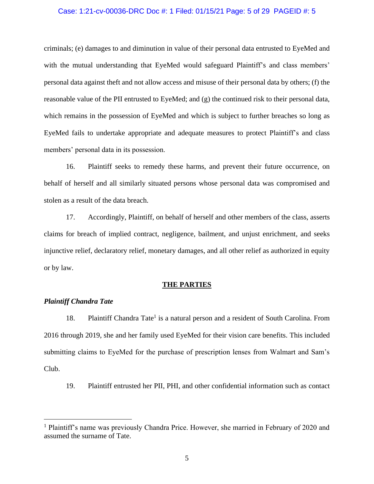### Case: 1:21-cv-00036-DRC Doc #: 1 Filed: 01/15/21 Page: 5 of 29 PAGEID #: 5

criminals; (e) damages to and diminution in value of their personal data entrusted to EyeMed and with the mutual understanding that EyeMed would safeguard Plaintiff's and class members' personal data against theft and not allow access and misuse of their personal data by others; (f) the reasonable value of the PII entrusted to EyeMed; and (g) the continued risk to their personal data, which remains in the possession of EyeMed and which is subject to further breaches so long as EyeMed fails to undertake appropriate and adequate measures to protect Plaintiff's and class members' personal data in its possession.

16. Plaintiff seeks to remedy these harms, and prevent their future occurrence, on behalf of herself and all similarly situated persons whose personal data was compromised and stolen as a result of the data breach.

17. Accordingly, Plaintiff, on behalf of herself and other members of the class, asserts claims for breach of implied contract, negligence, bailment, and unjust enrichment, and seeks injunctive relief, declaratory relief, monetary damages, and all other relief as authorized in equity or by law.

#### **THE PARTIES**

### *Plaintiff Chandra Tate*

18. Plaintiff Chandra Tate<sup>1</sup> is a natural person and a resident of South Carolina. From 2016 through 2019, she and her family used EyeMed for their vision care benefits. This included submitting claims to EyeMed for the purchase of prescription lenses from Walmart and Sam's Club.

19. Plaintiff entrusted her PII, PHI, and other confidential information such as contact

<sup>&</sup>lt;sup>1</sup> Plaintiff's name was previously Chandra Price. However, she married in February of 2020 and assumed the surname of Tate.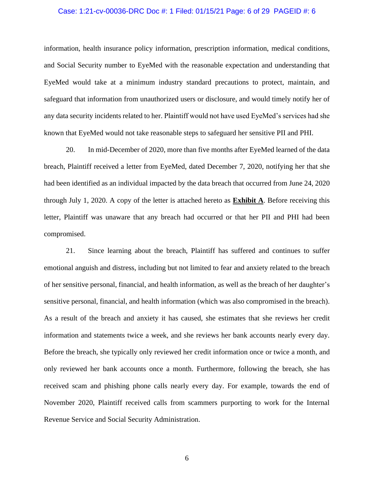### Case: 1:21-cv-00036-DRC Doc #: 1 Filed: 01/15/21 Page: 6 of 29 PAGEID #: 6

information, health insurance policy information, prescription information, medical conditions, and Social Security number to EyeMed with the reasonable expectation and understanding that EyeMed would take at a minimum industry standard precautions to protect, maintain, and safeguard that information from unauthorized users or disclosure, and would timely notify her of any data security incidents related to her. Plaintiff would not have used EyeMed's services had she known that EyeMed would not take reasonable steps to safeguard her sensitive PII and PHI.

20. In mid-December of 2020, more than five months after EyeMed learned of the data breach, Plaintiff received a letter from EyeMed, dated December 7, 2020, notifying her that she had been identified as an individual impacted by the data breach that occurred from June 24, 2020 through July 1, 2020. A copy of the letter is attached hereto as **Exhibit A**. Before receiving this letter, Plaintiff was unaware that any breach had occurred or that her PII and PHI had been compromised.

21. Since learning about the breach, Plaintiff has suffered and continues to suffer emotional anguish and distress, including but not limited to fear and anxiety related to the breach of her sensitive personal, financial, and health information, as well as the breach of her daughter's sensitive personal, financial, and health information (which was also compromised in the breach). As a result of the breach and anxiety it has caused, she estimates that she reviews her credit information and statements twice a week, and she reviews her bank accounts nearly every day. Before the breach, she typically only reviewed her credit information once or twice a month, and only reviewed her bank accounts once a month. Furthermore, following the breach, she has received scam and phishing phone calls nearly every day. For example, towards the end of November 2020, Plaintiff received calls from scammers purporting to work for the Internal Revenue Service and Social Security Administration.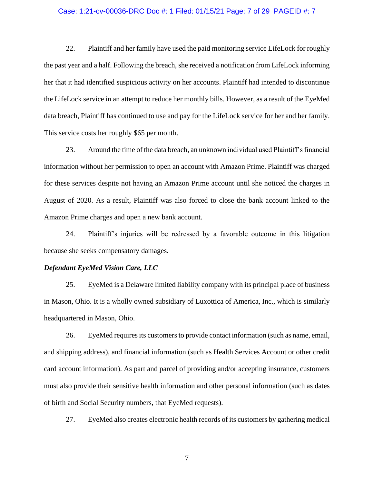#### Case: 1:21-cv-00036-DRC Doc #: 1 Filed: 01/15/21 Page: 7 of 29 PAGEID #: 7

22. Plaintiff and her family have used the paid monitoring service LifeLock for roughly the past year and a half. Following the breach, she received a notification from LifeLock informing her that it had identified suspicious activity on her accounts. Plaintiff had intended to discontinue the LifeLock service in an attempt to reduce her monthly bills. However, as a result of the EyeMed data breach, Plaintiff has continued to use and pay for the LifeLock service for her and her family. This service costs her roughly \$65 per month.

23. Around the time of the data breach, an unknown individual used Plaintiff's financial information without her permission to open an account with Amazon Prime. Plaintiff was charged for these services despite not having an Amazon Prime account until she noticed the charges in August of 2020. As a result, Plaintiff was also forced to close the bank account linked to the Amazon Prime charges and open a new bank account.

24. Plaintiff's injuries will be redressed by a favorable outcome in this litigation because she seeks compensatory damages.

#### *Defendant EyeMed Vision Care, LLC*

25. EyeMed is a Delaware limited liability company with its principal place of business in Mason, Ohio. It is a wholly owned subsidiary of Luxottica of America, Inc., which is similarly headquartered in Mason, Ohio.

26. EyeMed requires its customers to provide contact information (such as name, email, and shipping address), and financial information (such as Health Services Account or other credit card account information). As part and parcel of providing and/or accepting insurance, customers must also provide their sensitive health information and other personal information (such as dates of birth and Social Security numbers, that EyeMed requests).

27. EyeMed also creates electronic health records of its customers by gathering medical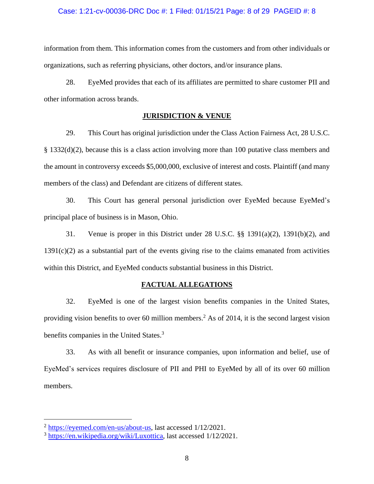### Case: 1:21-cv-00036-DRC Doc #: 1 Filed: 01/15/21 Page: 8 of 29 PAGEID #: 8

information from them. This information comes from the customers and from other individuals or organizations, such as referring physicians, other doctors, and/or insurance plans.

28. EyeMed provides that each of its affiliates are permitted to share customer PII and other information across brands.

# **JURISDICTION & VENUE**

29. This Court has original jurisdiction under the Class Action Fairness Act, 28 U.S.C. § 1332(d)(2), because this is a class action involving more than 100 putative class members and the amount in controversy exceeds \$5,000,000, exclusive of interest and costs. Plaintiff (and many members of the class) and Defendant are citizens of different states.

30. This Court has general personal jurisdiction over EyeMed because EyeMed's principal place of business is in Mason, Ohio.

31. Venue is proper in this District under 28 U.S.C. §§ 1391(a)(2), 1391(b)(2), and 1391(c)(2) as a substantial part of the events giving rise to the claims emanated from activities within this District, and EyeMed conducts substantial business in this District.

## **FACTUAL ALLEGATIONS**

32. EyeMed is one of the largest vision benefits companies in the United States, providing vision benefits to over 60 million members.<sup>2</sup> As of 2014, it is the second largest vision benefits companies in the United States.<sup>3</sup>

33. As with all benefit or insurance companies, upon information and belief, use of EyeMed's services requires disclosure of PII and PHI to EyeMed by all of its over 60 million members.

<sup>2</sup> https://eyemed.com/en-us/about-us, last accessed 1/12/2021.

<sup>3</sup> https://en.wikipedia.org/wiki/Luxottica, last accessed 1/12/2021.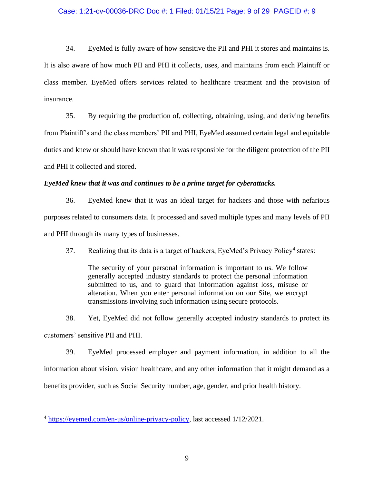### Case: 1:21-cv-00036-DRC Doc #: 1 Filed: 01/15/21 Page: 9 of 29 PAGEID #: 9

34. EyeMed is fully aware of how sensitive the PII and PHI it stores and maintains is. It is also aware of how much PII and PHI it collects, uses, and maintains from each Plaintiff or class member. EyeMed offers services related to healthcare treatment and the provision of insurance.

35. By requiring the production of, collecting, obtaining, using, and deriving benefits from Plaintiff's and the class members' PII and PHI, EyeMed assumed certain legal and equitable duties and knew or should have known that it was responsible for the diligent protection of the PII and PHI it collected and stored.

# *EyeMed knew that it was and continues to be a prime target for cyberattacks.*

36. EyeMed knew that it was an ideal target for hackers and those with nefarious purposes related to consumers data. It processed and saved multiple types and many levels of PII and PHI through its many types of businesses.

37. Realizing that its data is a target of hackers, EyeMed's Privacy Policy<sup>4</sup> states:

The security of your personal information is important to us. We follow generally accepted industry standards to protect the personal information submitted to us, and to guard that information against loss, misuse or alteration. When you enter personal information on our Site, we encrypt transmissions involving such information using secure protocols.

38. Yet, EyeMed did not follow generally accepted industry standards to protect its customers' sensitive PII and PHI.

39. EyeMed processed employer and payment information, in addition to all the information about vision, vision healthcare, and any other information that it might demand as a benefits provider, such as Social Security number, age, gender, and prior health history.

<sup>4</sup> [https://eyemed.com/en-us/online-privacy-policy,](https://eyemed.com/en-us/online-privacy-policy) last accessed 1/12/2021.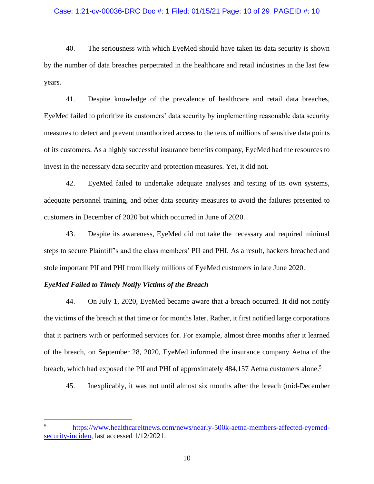### Case: 1:21-cv-00036-DRC Doc #: 1 Filed: 01/15/21 Page: 10 of 29 PAGEID #: 10

40. The seriousness with which EyeMed should have taken its data security is shown by the number of data breaches perpetrated in the healthcare and retail industries in the last few years.

41. Despite knowledge of the prevalence of healthcare and retail data breaches, EyeMed failed to prioritize its customers' data security by implementing reasonable data security measures to detect and prevent unauthorized access to the tens of millions of sensitive data points of its customers. As a highly successful insurance benefits company, EyeMed had the resources to invest in the necessary data security and protection measures. Yet, it did not.

42. EyeMed failed to undertake adequate analyses and testing of its own systems, adequate personnel training, and other data security measures to avoid the failures presented to customers in December of 2020 but which occurred in June of 2020.

43. Despite its awareness, EyeMed did not take the necessary and required minimal steps to secure Plaintiff's and the class members' PII and PHI. As a result, hackers breached and stole important PII and PHI from likely millions of EyeMed customers in late June 2020.

### *EyeMed Failed to Timely Notify Victims of the Breach*

44. On July 1, 2020, EyeMed became aware that a breach occurred. It did not notify the victims of the breach at that time or for months later. Rather, it first notified large corporations that it partners with or performed services for. For example, almost three months after it learned of the breach, on September 28, 2020, EyeMed informed the insurance company Aetna of the breach, which had exposed the PII and PHI of approximately 484,157 Aetna customers alone.<sup>5</sup>

45. Inexplicably, it was not until almost six months after the breach (mid-December

<sup>5</sup> [https://www.healthcareitnews.com/news/nearly-500k-aetna-members-affected-eyemed](https://www.healthcareitnews.com/news/nearly-500k-aetna-members-affected-eyemed-security-inciden)[security-inciden,](https://www.healthcareitnews.com/news/nearly-500k-aetna-members-affected-eyemed-security-inciden) last accessed  $1/12/2021$ .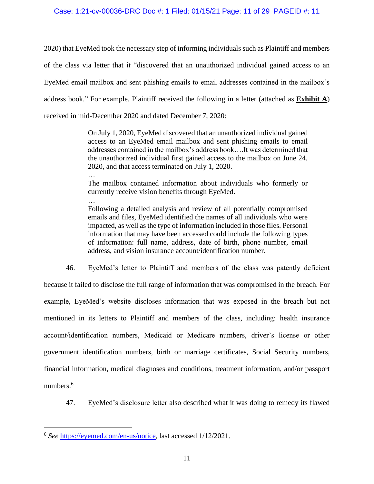## Case: 1:21-cv-00036-DRC Doc #: 1 Filed: 01/15/21 Page: 11 of 29 PAGEID #: 11

2020) that EyeMed took the necessary step of informing individuals such as Plaintiff and members of the class via letter that it "discovered that an unauthorized individual gained access to an EyeMed email mailbox and sent phishing emails to email addresses contained in the mailbox's address book." For example, Plaintiff received the following in a letter (attached as **Exhibit A**) received in mid-December 2020 and dated December 7, 2020:

> On July 1, 2020, EyeMed discovered that an unauthorized individual gained access to an EyeMed email mailbox and sent phishing emails to email addresses contained in the mailbox's address book….It was determined that the unauthorized individual first gained access to the mailbox on June 24, 2020, and that access terminated on July 1, 2020.

> The mailbox contained information about individuals who formerly or currently receive vision benefits through EyeMed.

> … Following a detailed analysis and review of all potentially compromised emails and files, EyeMed identified the names of all individuals who were impacted, as well as the type of information included in those files. Personal information that may have been accessed could include the following types of information: full name, address, date of birth, phone number, email address, and vision insurance account/identification number.

46. EyeMed's letter to Plaintiff and members of the class was patently deficient because it failed to disclose the full range of information that was compromised in the breach. For example, EyeMed's website discloses information that was exposed in the breach but not mentioned in its letters to Plaintiff and members of the class, including: health insurance account/identification numbers, Medicaid or Medicare numbers, driver's license or other government identification numbers, birth or marriage certificates, Social Security numbers, financial information, medical diagnoses and conditions, treatment information, and/or passport numbers.<sup>6</sup>

47. EyeMed's disclosure letter also described what it was doing to remedy its flawed

…

<sup>6</sup> *See* https://eyemed.com/en-us/notice, last accessed 1/12/2021.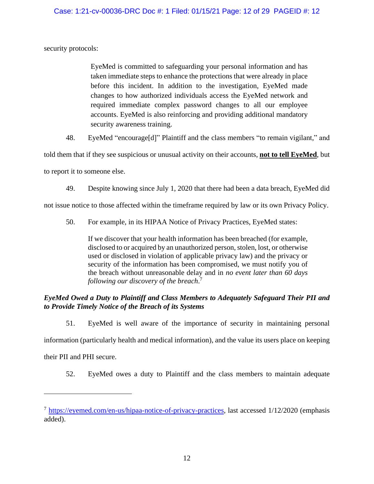security protocols:

EyeMed is committed to safeguarding your personal information and has taken immediate steps to enhance the protections that were already in place before this incident. In addition to the investigation, EyeMed made changes to how authorized individuals access the EyeMed network and required immediate complex password changes to all our employee accounts. EyeMed is also reinforcing and providing additional mandatory security awareness training.

48. EyeMed "encourage[d]" Plaintiff and the class members "to remain vigilant," and

told them that if they see suspicious or unusual activity on their accounts, **not to tell EyeMed**, but to report it to someone else.

49. Despite knowing since July 1, 2020 that there had been a data breach, EyeMed did

not issue notice to those affected within the timeframe required by law or its own Privacy Policy.

50. For example, in its HIPAA Notice of Privacy Practices, EyeMed states:

If we discover that your health information has been breached (for example, disclosed to or acquired by an unauthorized person, stolen, lost, or otherwise used or disclosed in violation of applicable privacy law) and the privacy or security of the information has been compromised, we must notify you of the breach without unreasonable delay and in *no event later than 60 days following our discovery of the breach*. 7

# *EyeMed Owed a Duty to Plaintiff and Class Members to Adequately Safeguard Their PII and to Provide Timely Notice of the Breach of its Systems*

51. EyeMed is well aware of the importance of security in maintaining personal

information (particularly health and medical information), and the value its users place on keeping

their PII and PHI secure.

52. EyeMed owes a duty to Plaintiff and the class members to maintain adequate

 $^7$  https://eyemed.com/en-us/hipaa-notice-of-privacy-practices, last accessed  $1/12/2020$  (emphasis added).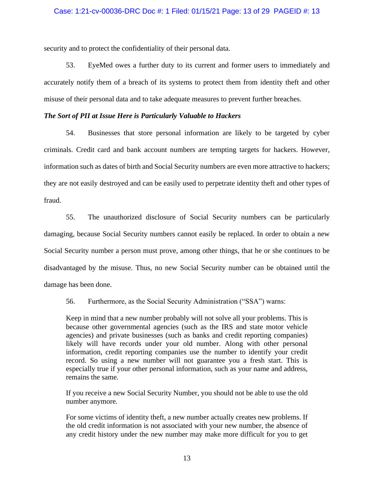security and to protect the confidentiality of their personal data.

53. EyeMed owes a further duty to its current and former users to immediately and accurately notify them of a breach of its systems to protect them from identity theft and other misuse of their personal data and to take adequate measures to prevent further breaches.

### *The Sort of PII at Issue Here is Particularly Valuable to Hackers*

54. Businesses that store personal information are likely to be targeted by cyber criminals. Credit card and bank account numbers are tempting targets for hackers. However, information such as dates of birth and Social Security numbers are even more attractive to hackers; they are not easily destroyed and can be easily used to perpetrate identity theft and other types of fraud.

55. The unauthorized disclosure of Social Security numbers can be particularly damaging, because Social Security numbers cannot easily be replaced. In order to obtain a new Social Security number a person must prove, among other things, that he or she continues to be disadvantaged by the misuse. Thus, no new Social Security number can be obtained until the damage has been done.

56. Furthermore, as the Social Security Administration ("SSA") warns:

Keep in mind that a new number probably will not solve all your problems. This is because other governmental agencies (such as the IRS and state motor vehicle agencies) and private businesses (such as banks and credit reporting companies) likely will have records under your old number. Along with other personal information, credit reporting companies use the number to identify your credit record. So using a new number will not guarantee you a fresh start. This is especially true if your other personal information, such as your name and address, remains the same*.* 

If you receive a new Social Security Number, you should not be able to use the old number anymore*.* 

For some victims of identity theft, a new number actually creates new problems. If the old credit information is not associated with your new number, the absence of any credit history under the new number may make more difficult for you to get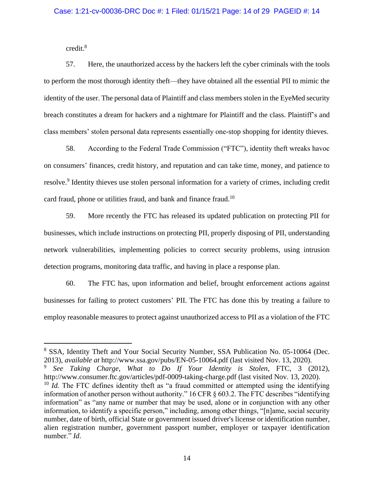credit.<sup>8</sup>

57. Here, the unauthorized access by the hackers left the cyber criminals with the tools to perform the most thorough identity theft—they have obtained all the essential PII to mimic the identity of the user. The personal data of Plaintiff and class members stolen in the EyeMed security breach constitutes a dream for hackers and a nightmare for Plaintiff and the class. Plaintiff's and class members' stolen personal data represents essentially one-stop shopping for identity thieves.

58. According to the Federal Trade Commission ("FTC"), identity theft wreaks havoc on consumers' finances, credit history, and reputation and can take time, money, and patience to resolve.<sup>9</sup> Identity thieves use stolen personal information for a variety of crimes, including credit card fraud, phone or utilities fraud, and bank and finance fraud.<sup>10</sup>

59. More recently the FTC has released its updated publication on protecting PII for businesses, which include instructions on protecting PII, properly disposing of PII, understanding network vulnerabilities, implementing policies to correct security problems, using intrusion detection programs, monitoring data traffic, and having in place a response plan.

60. The FTC has, upon information and belief, brought enforcement actions against businesses for failing to protect customers' PII. The FTC has done this by treating a failure to employ reasonable measures to protect against unauthorized access to PII as a violation of the FTC

<sup>8</sup> SSA, Identity Theft and Your Social Security Number, SSA Publication No. 05-10064 (Dec. 2013)*, available at* http://www.ssa.gov/pubs/EN-05-10064.pdf (last visited Nov. 13, 2020).

<sup>9</sup> *See Taking Charge, What to Do If Your Identity is Stolen*, FTC, 3 (2012), http://www.consumer.ftc.gov/articles/pdf-0009-taking-charge.pdf (last visited Nov. 13, 2020).

<sup>&</sup>lt;sup>10</sup> *Id.* The FTC defines identity theft as "a fraud committed or attempted using the identifying information of another person without authority." 16 CFR § 603.2. The FTC describes "identifying information" as "any name or number that may be used, alone or in conjunction with any other information, to identify a specific person," including, among other things, "[n]ame, social security number, date of birth, official State or government issued driver's license or identification number, alien registration number, government passport number, employer or taxpayer identification number." *Id*.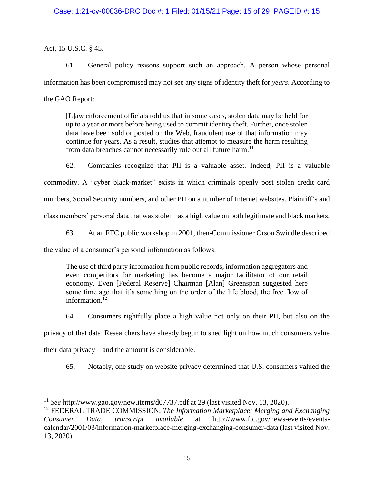# Case: 1:21-cv-00036-DRC Doc #: 1 Filed: 01/15/21 Page: 15 of 29 PAGEID #: 15

# Act, 15 U.S.C. § 45.

61. General policy reasons support such an approach. A person whose personal information has been compromised may not see any signs of identity theft for *years*. According to the GAO Report:

[L]aw enforcement officials told us that in some cases, stolen data may be held for up to a year or more before being used to commit identity theft. Further, once stolen data have been sold or posted on the Web, fraudulent use of that information may continue for years. As a result, studies that attempt to measure the harm resulting from data breaches cannot necessarily rule out all future harm.<sup>11</sup>

62. Companies recognize that PII is a valuable asset. Indeed, PII is a valuable

commodity. A "cyber black-market" exists in which criminals openly post stolen credit card

numbers, Social Security numbers, and other PII on a number of Internet websites. Plaintiff's and

class members' personal data that was stolen has a high value on both legitimate and black markets.

63. At an FTC public workshop in 2001, then-Commissioner Orson Swindle described

the value of a consumer's personal information as follows:

The use of third party information from public records, information aggregators and even competitors for marketing has become a major facilitator of our retail economy. Even [Federal Reserve] Chairman [Alan] Greenspan suggested here some time ago that it's something on the order of the life blood, the free flow of information. $12$ 

64. Consumers rightfully place a high value not only on their PII, but also on the

privacy of that data. Researchers have already begun to shed light on how much consumers value

their data privacy – and the amount is considerable.

65. Notably, one study on website privacy determined that U.S. consumers valued the

<sup>11</sup> *See* http://www.gao.gov/new.items/d07737.pdf at 29 (last visited Nov. 13, 2020).

<sup>12</sup> FEDERAL TRADE COMMISSION, *The Information Marketplace: Merging and Exchanging Consumer Data*, *transcript available* at http://www.ftc.gov/news-events/eventscalendar/2001/03/information-marketplace-merging-exchanging-consumer-data (last visited Nov. 13, 2020).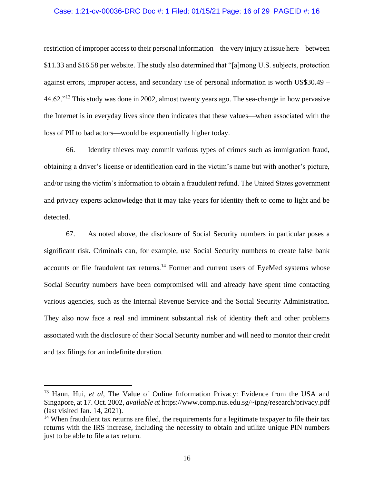### Case: 1:21-cv-00036-DRC Doc #: 1 Filed: 01/15/21 Page: 16 of 29 PAGEID #: 16

restriction of improper access to their personal information – the very injury at issue here – between \$11.33 and \$16.58 per website. The study also determined that "[a]mong U.S. subjects, protection against errors, improper access, and secondary use of personal information is worth US\$30.49 – 44.62."<sup>13</sup> This study was done in 2002, almost twenty years ago. The sea-change in how pervasive the Internet is in everyday lives since then indicates that these values—when associated with the loss of PII to bad actors—would be exponentially higher today.

66. Identity thieves may commit various types of crimes such as immigration fraud, obtaining a driver's license or identification card in the victim's name but with another's picture, and/or using the victim's information to obtain a fraudulent refund. The United States government and privacy experts acknowledge that it may take years for identity theft to come to light and be detected.

67. As noted above, the disclosure of Social Security numbers in particular poses a significant risk. Criminals can, for example, use Social Security numbers to create false bank accounts or file fraudulent tax returns.<sup>14</sup> Former and current users of EyeMed systems whose Social Security numbers have been compromised will and already have spent time contacting various agencies, such as the Internal Revenue Service and the Social Security Administration. They also now face a real and imminent substantial risk of identity theft and other problems associated with the disclosure of their Social Security number and will need to monitor their credit and tax filings for an indefinite duration.

<sup>&</sup>lt;sup>13</sup> Hann, Hui, *et al*, The Value of Online Information Privacy: Evidence from the USA and Singapore, at 17. Oct. 2002, *available at* https://www.comp.nus.edu.sg/~ipng/research/privacy.pdf (last visited Jan. 14, 2021).

 $14$  When fraudulent tax returns are filed, the requirements for a legitimate taxpayer to file their tax returns with the IRS increase, including the necessity to obtain and utilize unique PIN numbers just to be able to file a tax return.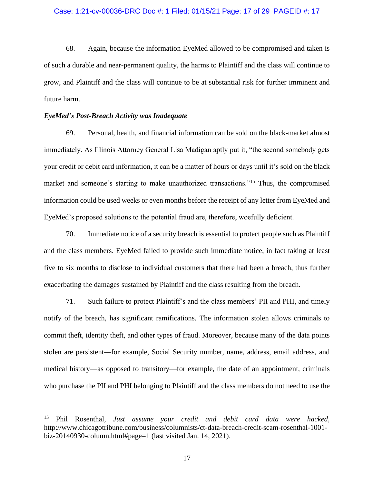#### Case: 1:21-cv-00036-DRC Doc #: 1 Filed: 01/15/21 Page: 17 of 29 PAGEID #: 17

68. Again, because the information EyeMed allowed to be compromised and taken is of such a durable and near-permanent quality, the harms to Plaintiff and the class will continue to grow, and Plaintiff and the class will continue to be at substantial risk for further imminent and future harm.

### *EyeMed's Post-Breach Activity was Inadequate*

69. Personal, health, and financial information can be sold on the black-market almost immediately. As Illinois Attorney General Lisa Madigan aptly put it, "the second somebody gets your credit or debit card information, it can be a matter of hours or days until it's sold on the black market and someone's starting to make unauthorized transactions."<sup>15</sup> Thus, the compromised information could be used weeks or even months before the receipt of any letter from EyeMed and EyeMed's proposed solutions to the potential fraud are, therefore, woefully deficient.

70. Immediate notice of a security breach is essential to protect people such as Plaintiff and the class members. EyeMed failed to provide such immediate notice, in fact taking at least five to six months to disclose to individual customers that there had been a breach, thus further exacerbating the damages sustained by Plaintiff and the class resulting from the breach.

71. Such failure to protect Plaintiff's and the class members' PII and PHI, and timely notify of the breach, has significant ramifications. The information stolen allows criminals to commit theft, identity theft, and other types of fraud. Moreover, because many of the data points stolen are persistent—for example, Social Security number, name, address, email address, and medical history—as opposed to transitory—for example, the date of an appointment, criminals who purchase the PII and PHI belonging to Plaintiff and the class members do not need to use the

<sup>15</sup> Phil Rosenthal, *Just assume your credit and debit card data were hacked*, http://www.chicagotribune.com/business/columnists/ct-data-breach-credit-scam-rosenthal-1001 biz-20140930-column.html#page=1 (last visited Jan. 14, 2021).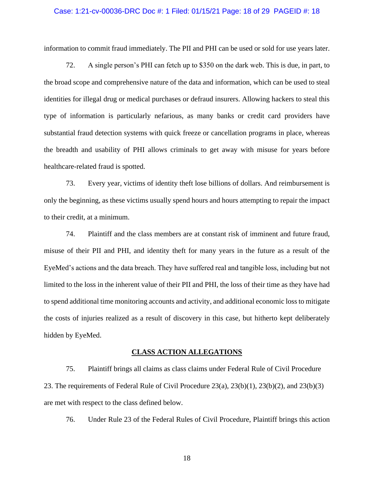#### Case: 1:21-cv-00036-DRC Doc #: 1 Filed: 01/15/21 Page: 18 of 29 PAGEID #: 18

information to commit fraud immediately. The PII and PHI can be used or sold for use years later.

72. A single person's PHI can fetch up to \$350 on the dark web. This is due, in part, to the broad scope and comprehensive nature of the data and information, which can be used to steal identities for illegal drug or medical purchases or defraud insurers. Allowing hackers to steal this type of information is particularly nefarious, as many banks or credit card providers have substantial fraud detection systems with quick freeze or cancellation programs in place, whereas the breadth and usability of PHI allows criminals to get away with misuse for years before healthcare-related fraud is spotted.

73. Every year, victims of identity theft lose billions of dollars. And reimbursement is only the beginning, as these victims usually spend hours and hours attempting to repair the impact to their credit, at a minimum.

74. Plaintiff and the class members are at constant risk of imminent and future fraud, misuse of their PII and PHI, and identity theft for many years in the future as a result of the EyeMed's actions and the data breach. They have suffered real and tangible loss, including but not limited to the loss in the inherent value of their PII and PHI, the loss of their time as they have had to spend additional time monitoring accounts and activity, and additional economic loss to mitigate the costs of injuries realized as a result of discovery in this case, but hitherto kept deliberately hidden by EyeMed.

#### **CLASS ACTION ALLEGATIONS**

75. Plaintiff brings all claims as class claims under Federal Rule of Civil Procedure 23. The requirements of Federal Rule of Civil Procedure 23(a), 23(b)(1), 23(b)(2), and 23(b)(3) are met with respect to the class defined below.

76. Under Rule 23 of the Federal Rules of Civil Procedure, Plaintiff brings this action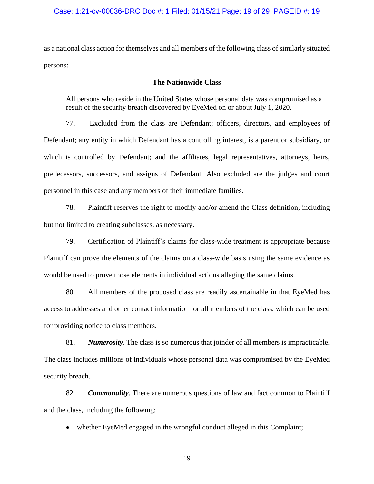as a national class action for themselves and all members of the following class of similarly situated persons:

### **The Nationwide Class**

All persons who reside in the United States whose personal data was compromised as a result of the security breach discovered by EyeMed on or about July 1, 2020.

77. Excluded from the class are Defendant; officers, directors, and employees of Defendant; any entity in which Defendant has a controlling interest, is a parent or subsidiary, or which is controlled by Defendant; and the affiliates, legal representatives, attorneys, heirs, predecessors, successors, and assigns of Defendant. Also excluded are the judges and court personnel in this case and any members of their immediate families.

78. Plaintiff reserves the right to modify and/or amend the Class definition, including but not limited to creating subclasses, as necessary.

79. Certification of Plaintiff's claims for class-wide treatment is appropriate because Plaintiff can prove the elements of the claims on a class-wide basis using the same evidence as would be used to prove those elements in individual actions alleging the same claims.

80. All members of the proposed class are readily ascertainable in that EyeMed has access to addresses and other contact information for all members of the class, which can be used for providing notice to class members.

81. *Numerosity*. The class is so numerous that joinder of all members is impracticable. The class includes millions of individuals whose personal data was compromised by the EyeMed security breach.

82. *Commonality*. There are numerous questions of law and fact common to Plaintiff and the class, including the following:

• whether EyeMed engaged in the wrongful conduct alleged in this Complaint;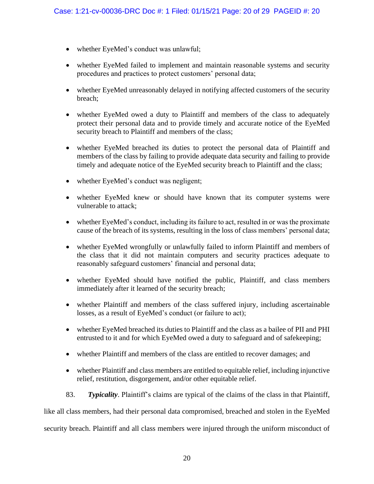- whether EyeMed's conduct was unlawful;
- whether EyeMed failed to implement and maintain reasonable systems and security procedures and practices to protect customers' personal data;
- whether EyeMed unreasonably delayed in notifying affected customers of the security breach;
- whether EyeMed owed a duty to Plaintiff and members of the class to adequately protect their personal data and to provide timely and accurate notice of the EyeMed security breach to Plaintiff and members of the class;
- whether EyeMed breached its duties to protect the personal data of Plaintiff and members of the class by failing to provide adequate data security and failing to provide timely and adequate notice of the EyeMed security breach to Plaintiff and the class;
- whether EyeMed's conduct was negligent;
- whether EyeMed knew or should have known that its computer systems were vulnerable to attack;
- whether EyeMed's conduct, including its failure to act, resulted in or was the proximate cause of the breach of its systems, resulting in the loss of class members' personal data;
- whether EyeMed wrongfully or unlawfully failed to inform Plaintiff and members of the class that it did not maintain computers and security practices adequate to reasonably safeguard customers' financial and personal data;
- whether EyeMed should have notified the public, Plaintiff, and class members immediately after it learned of the security breach;
- whether Plaintiff and members of the class suffered injury, including ascertainable losses, as a result of EyeMed's conduct (or failure to act);
- whether EyeMed breached its duties to Plaintiff and the class as a bailee of PII and PHI entrusted to it and for which EyeMed owed a duty to safeguard and of safekeeping;
- whether Plaintiff and members of the class are entitled to recover damages; and
- whether Plaintiff and class members are entitled to equitable relief, including injunctive relief, restitution, disgorgement, and/or other equitable relief.
- 83. *Typicality*. Plaintiff's claims are typical of the claims of the class in that Plaintiff,

like all class members, had their personal data compromised, breached and stolen in the EyeMed

security breach. Plaintiff and all class members were injured through the uniform misconduct of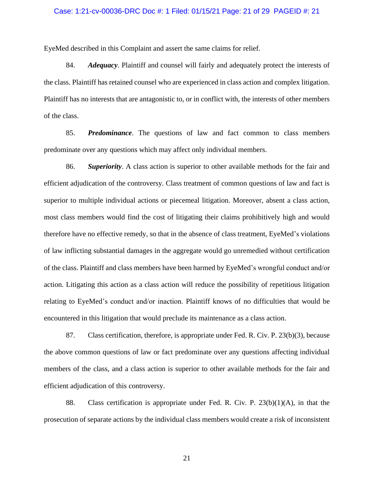#### Case: 1:21-cv-00036-DRC Doc #: 1 Filed: 01/15/21 Page: 21 of 29 PAGEID #: 21

EyeMed described in this Complaint and assert the same claims for relief.

84. *Adequacy*. Plaintiff and counsel will fairly and adequately protect the interests of the class. Plaintiff has retained counsel who are experienced in class action and complex litigation. Plaintiff has no interests that are antagonistic to, or in conflict with, the interests of other members of the class.

85. *Predominance*. The questions of law and fact common to class members predominate over any questions which may affect only individual members.

86. *Superiority*. A class action is superior to other available methods for the fair and efficient adjudication of the controversy. Class treatment of common questions of law and fact is superior to multiple individual actions or piecemeal litigation. Moreover, absent a class action, most class members would find the cost of litigating their claims prohibitively high and would therefore have no effective remedy, so that in the absence of class treatment, EyeMed's violations of law inflicting substantial damages in the aggregate would go unremedied without certification of the class. Plaintiff and class members have been harmed by EyeMed's wrongful conduct and/or action. Litigating this action as a class action will reduce the possibility of repetitious litigation relating to EyeMed's conduct and/or inaction. Plaintiff knows of no difficulties that would be encountered in this litigation that would preclude its maintenance as a class action.

87. Class certification, therefore, is appropriate under Fed. R. Civ. P. 23(b)(3), because the above common questions of law or fact predominate over any questions affecting individual members of the class, and a class action is superior to other available methods for the fair and efficient adjudication of this controversy.

88. Class certification is appropriate under Fed. R. Civ. P. 23(b)(1)(A), in that the prosecution of separate actions by the individual class members would create a risk of inconsistent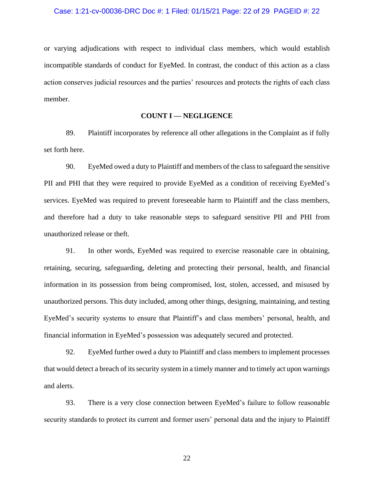or varying adjudications with respect to individual class members, which would establish incompatible standards of conduct for EyeMed. In contrast, the conduct of this action as a class action conserves judicial resources and the parties' resources and protects the rights of each class member.

### **COUNT I — NEGLIGENCE**

89. Plaintiff incorporates by reference all other allegations in the Complaint as if fully set forth here.

90. EyeMed owed a duty to Plaintiff and members of the class to safeguard the sensitive PII and PHI that they were required to provide EyeMed as a condition of receiving EyeMed's services. EyeMed was required to prevent foreseeable harm to Plaintiff and the class members, and therefore had a duty to take reasonable steps to safeguard sensitive PII and PHI from unauthorized release or theft.

91. In other words, EyeMed was required to exercise reasonable care in obtaining, retaining, securing, safeguarding, deleting and protecting their personal, health, and financial information in its possession from being compromised, lost, stolen, accessed, and misused by unauthorized persons. This duty included, among other things, designing, maintaining, and testing EyeMed's security systems to ensure that Plaintiff's and class members' personal, health, and financial information in EyeMed's possession was adequately secured and protected.

92. EyeMed further owed a duty to Plaintiff and class members to implement processes that would detect a breach of its security system in a timely manner and to timely act upon warnings and alerts.

93. There is a very close connection between EyeMed's failure to follow reasonable security standards to protect its current and former users' personal data and the injury to Plaintiff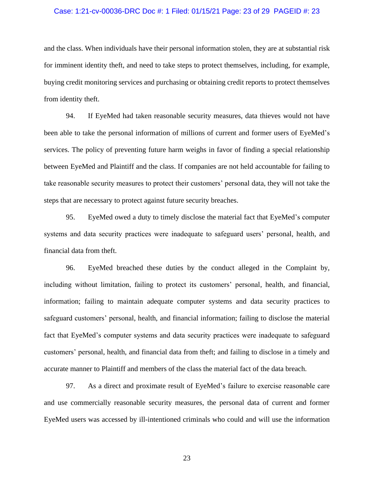#### Case: 1:21-cv-00036-DRC Doc #: 1 Filed: 01/15/21 Page: 23 of 29 PAGEID #: 23

and the class. When individuals have their personal information stolen, they are at substantial risk for imminent identity theft, and need to take steps to protect themselves, including, for example, buying credit monitoring services and purchasing or obtaining credit reports to protect themselves from identity theft.

94. If EyeMed had taken reasonable security measures, data thieves would not have been able to take the personal information of millions of current and former users of EyeMed's services. The policy of preventing future harm weighs in favor of finding a special relationship between EyeMed and Plaintiff and the class. If companies are not held accountable for failing to take reasonable security measures to protect their customers' personal data, they will not take the steps that are necessary to protect against future security breaches.

95. EyeMed owed a duty to timely disclose the material fact that EyeMed's computer systems and data security practices were inadequate to safeguard users' personal, health, and financial data from theft.

96. EyeMed breached these duties by the conduct alleged in the Complaint by, including without limitation, failing to protect its customers' personal, health, and financial, information; failing to maintain adequate computer systems and data security practices to safeguard customers' personal, health, and financial information; failing to disclose the material fact that EyeMed's computer systems and data security practices were inadequate to safeguard customers' personal, health, and financial data from theft; and failing to disclose in a timely and accurate manner to Plaintiff and members of the class the material fact of the data breach.

97. As a direct and proximate result of EyeMed's failure to exercise reasonable care and use commercially reasonable security measures, the personal data of current and former EyeMed users was accessed by ill-intentioned criminals who could and will use the information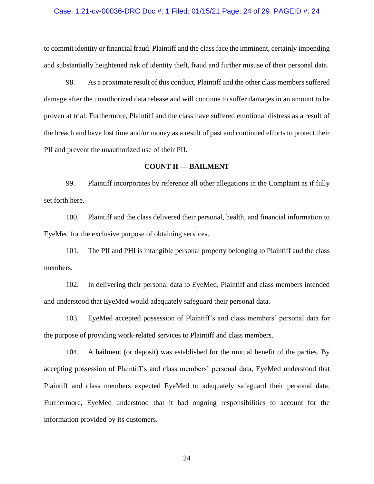#### Case: 1:21-cv-00036-DRC Doc #: 1 Filed: 01/15/21 Page: 24 of 29 PAGEID #: 24

to commit identity or financial fraud. Plaintiff and the class face the imminent, certainly impending and substantially heightened risk of identity theft, fraud and further misuse of their personal data.

98. As a proximate result of this conduct, Plaintiff and the other class members suffered damage after the unauthorized data release and will continue to suffer damages in an amount to be proven at trial. Furthermore, Plaintiff and the class have suffered emotional distress as a result of the breach and have lost time and/or money as a result of past and continued efforts to protect their PII and prevent the unauthorized use of their PII.

#### **COUNT II — BAILMENT**

99. Plaintiff incorporates by reference all other allegations in the Complaint as if fully set forth here.

100. Plaintiff and the class delivered their personal, health, and financial information to EyeMed for the exclusive purpose of obtaining services.

101. The PII and PHI is intangible personal property belonging to Plaintiff and the class members.

102. In delivering their personal data to EyeMed, Plaintiff and class members intended and understood that EyeMed would adequately safeguard their personal data.

103. EyeMed accepted possession of Plaintiff's and class members' personal data for the purpose of providing work-related services to Plaintiff and class members.

104. A bailment (or deposit) was established for the mutual benefit of the parties. By accepting possession of Plaintiff's and class members' personal data, EyeMed understood that Plaintiff and class members expected EyeMed to adequately safeguard their personal data. Furthermore, EyeMed understood that it had ongoing responsibilities to account for the information provided by its customers.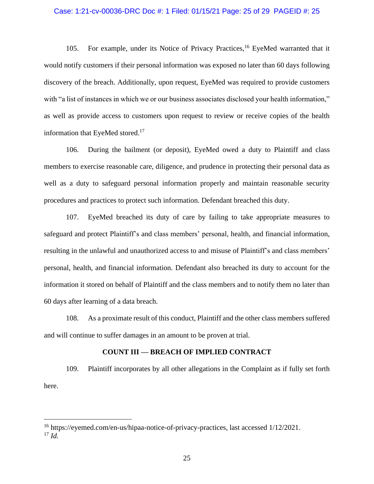#### Case: 1:21-cv-00036-DRC Doc #: 1 Filed: 01/15/21 Page: 25 of 29 PAGEID #: 25

105. For example, under its Notice of Privacy Practices,<sup>16</sup> EyeMed warranted that it would notify customers if their personal information was exposed no later than 60 days following discovery of the breach. Additionally, upon request, EyeMed was required to provide customers with "a list of instances in which we or our business associates disclosed your health information," as well as provide access to customers upon request to review or receive copies of the health information that EveMed stored.<sup>17</sup>

106. During the bailment (or deposit), EyeMed owed a duty to Plaintiff and class members to exercise reasonable care, diligence, and prudence in protecting their personal data as well as a duty to safeguard personal information properly and maintain reasonable security procedures and practices to protect such information. Defendant breached this duty.

107. EyeMed breached its duty of care by failing to take appropriate measures to safeguard and protect Plaintiff's and class members' personal, health, and financial information, resulting in the unlawful and unauthorized access to and misuse of Plaintiff's and class members' personal, health, and financial information. Defendant also breached its duty to account for the information it stored on behalf of Plaintiff and the class members and to notify them no later than 60 days after learning of a data breach.

108. As a proximate result of this conduct, Plaintiff and the other class members suffered and will continue to suffer damages in an amount to be proven at trial.

#### **COUNT III — BREACH OF IMPLIED CONTRACT**

109. Plaintiff incorporates by all other allegations in the Complaint as if fully set forth here.

<sup>16</sup> https://eyemed.com/en-us/hipaa-notice-of-privacy-practices, last accessed 1/12/2021.

<sup>17</sup> *Id.*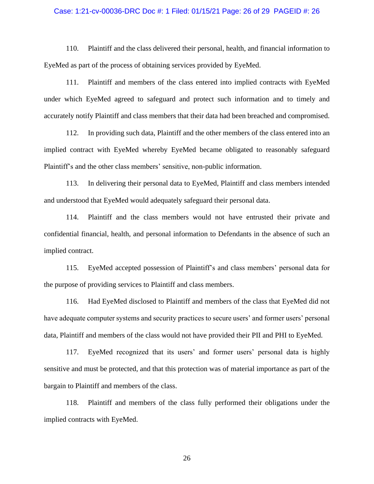### Case: 1:21-cv-00036-DRC Doc #: 1 Filed: 01/15/21 Page: 26 of 29 PAGEID #: 26

110. Plaintiff and the class delivered their personal, health, and financial information to EyeMed as part of the process of obtaining services provided by EyeMed.

111. Plaintiff and members of the class entered into implied contracts with EyeMed under which EyeMed agreed to safeguard and protect such information and to timely and accurately notify Plaintiff and class members that their data had been breached and compromised.

112. In providing such data, Plaintiff and the other members of the class entered into an implied contract with EyeMed whereby EyeMed became obligated to reasonably safeguard Plaintiff's and the other class members' sensitive, non-public information.

113. In delivering their personal data to EyeMed, Plaintiff and class members intended and understood that EyeMed would adequately safeguard their personal data.

114. Plaintiff and the class members would not have entrusted their private and confidential financial, health, and personal information to Defendants in the absence of such an implied contract.

115. EyeMed accepted possession of Plaintiff's and class members' personal data for the purpose of providing services to Plaintiff and class members.

116. Had EyeMed disclosed to Plaintiff and members of the class that EyeMed did not have adequate computer systems and security practices to secure users' and former users' personal data, Plaintiff and members of the class would not have provided their PII and PHI to EyeMed.

117. EyeMed recognized that its users' and former users' personal data is highly sensitive and must be protected, and that this protection was of material importance as part of the bargain to Plaintiff and members of the class.

118. Plaintiff and members of the class fully performed their obligations under the implied contracts with EyeMed.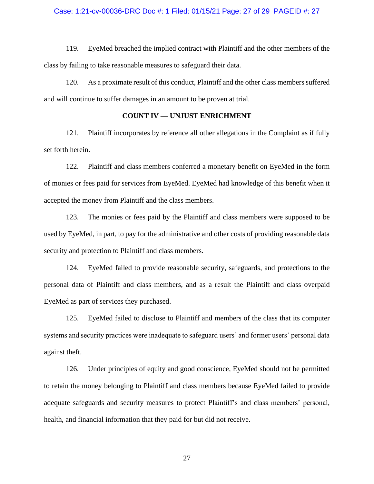#### Case: 1:21-cv-00036-DRC Doc #: 1 Filed: 01/15/21 Page: 27 of 29 PAGEID #: 27

119. EyeMed breached the implied contract with Plaintiff and the other members of the class by failing to take reasonable measures to safeguard their data.

120. As a proximate result of this conduct, Plaintiff and the other class members suffered and will continue to suffer damages in an amount to be proven at trial.

### **COUNT IV — UNJUST ENRICHMENT**

121. Plaintiff incorporates by reference all other allegations in the Complaint as if fully set forth herein.

122. Plaintiff and class members conferred a monetary benefit on EyeMed in the form of monies or fees paid for services from EyeMed. EyeMed had knowledge of this benefit when it accepted the money from Plaintiff and the class members.

123. The monies or fees paid by the Plaintiff and class members were supposed to be used by EyeMed, in part, to pay for the administrative and other costs of providing reasonable data security and protection to Plaintiff and class members.

124. EyeMed failed to provide reasonable security, safeguards, and protections to the personal data of Plaintiff and class members, and as a result the Plaintiff and class overpaid EyeMed as part of services they purchased.

125. EyeMed failed to disclose to Plaintiff and members of the class that its computer systems and security practices were inadequate to safeguard users' and former users' personal data against theft.

126. Under principles of equity and good conscience, EyeMed should not be permitted to retain the money belonging to Plaintiff and class members because EyeMed failed to provide adequate safeguards and security measures to protect Plaintiff's and class members' personal, health, and financial information that they paid for but did not receive.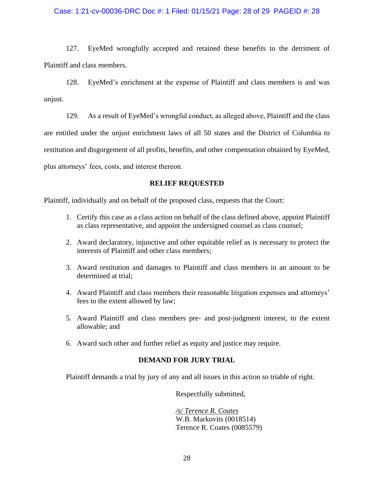## Case: 1:21-cv-00036-DRC Doc #: 1 Filed: 01/15/21 Page: 28 of 29 PAGEID #: 28

127. EyeMed wrongfully accepted and retained these benefits to the detriment of Plaintiff and class members.

128. EyeMed's enrichment at the expense of Plaintiff and class members is and was unjust.

129. As a result of EyeMed's wrongful conduct, as alleged above, Plaintiff and the class are entitled under the unjust enrichment laws of all 50 states and the District of Columbia to restitution and disgorgement of all profits, benefits, and other compensation obtained by EyeMed, plus attorneys' fees, costs, and interest thereon.

# **RELIEF REQUESTED**

Plaintiff, individually and on behalf of the proposed class, requests that the Court:

- 1. Certify this case as a class action on behalf of the class defined above, appoint Plaintiff as class representative, and appoint the undersigned counsel as class counsel;
- 2. Award declaratory, injunctive and other equitable relief as is necessary to protect the interests of Plaintiff and other class members;
- 3. Award restitution and damages to Plaintiff and class members in an amount to be determined at trial;
- 4. Award Plaintiff and class members their reasonable litigation expenses and attorneys' fees to the extent allowed by law;
- 5. Award Plaintiff and class members pre- and post-judgment interest, to the extent allowable; and
- 6. Award such other and further relief as equity and justice may require.

# **DEMAND FOR JURY TRIAL**

Plaintiff demands a trial by jury of any and all issues in this action so triable of right.

Respectfully submitted,

*/s/ Terence R. Coates* W.B. Markovits (0018514) Terence R. Coates (0085579)